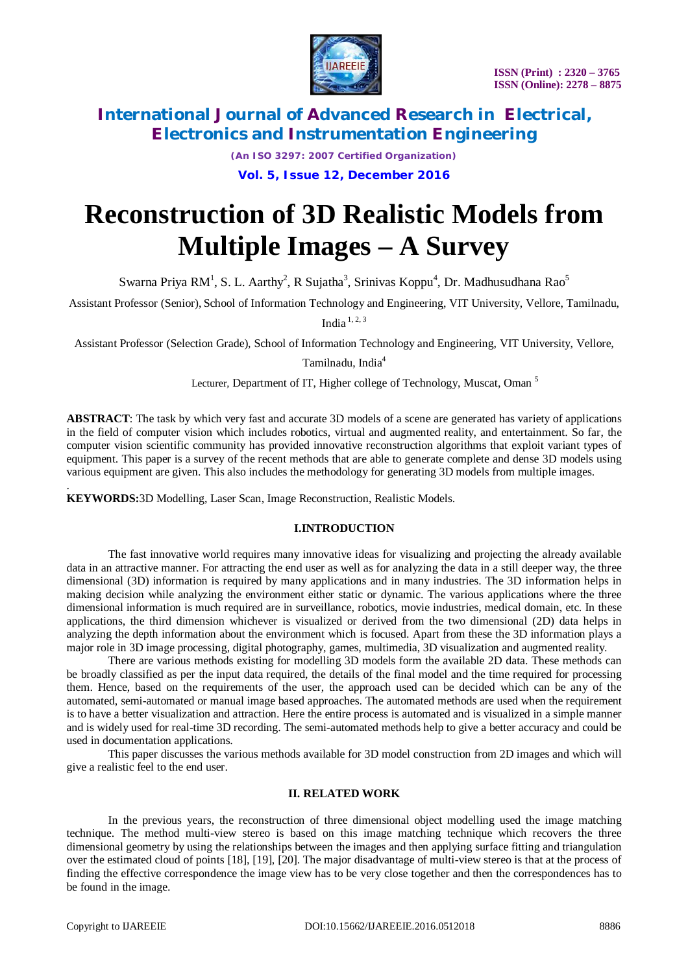

*(An ISO 3297: 2007 Certified Organization)* **Vol. 5, Issue 12, December 2016**

# **Reconstruction of 3D Realistic Models from Multiple Images – A Survey**

Swarna Priya RM<sup>1</sup>, S. L. Aarthy<sup>2</sup>, R Sujatha<sup>3</sup>, Srinivas Koppu<sup>4</sup>, Dr. Madhusudhana Rao<sup>5</sup>

Assistant Professor (Senior), School of Information Technology and Engineering, VIT University, Vellore, Tamilnadu,

India  $^{1, 2, 3}$ 

Assistant Professor (Selection Grade), School of Information Technology and Engineering, VIT University, Vellore,

Tamilnadu, India<sup>4</sup>

Lecturer, Department of IT, Higher college of Technology, Muscat, Oman<sup>5</sup>

**ABSTRACT**: The task by which very fast and accurate 3D models of a scene are generated has variety of applications in the field of computer vision which includes robotics, virtual and augmented reality, and entertainment. So far, the computer vision scientific community has provided innovative reconstruction algorithms that exploit variant types of equipment. This paper is a survey of the recent methods that are able to generate complete and dense 3D models using various equipment are given. This also includes the methodology for generating 3D models from multiple images.

**KEYWORDS:**3D Modelling, Laser Scan, Image Reconstruction, Realistic Models.

# **I.INTRODUCTION**

The fast innovative world requires many innovative ideas for visualizing and projecting the already available data in an attractive manner. For attracting the end user as well as for analyzing the data in a still deeper way, the three dimensional (3D) information is required by many applications and in many industries. The 3D information helps in making decision while analyzing the environment either static or dynamic. The various applications where the three dimensional information is much required are in surveillance, robotics, movie industries, medical domain, etc. In these applications, the third dimension whichever is visualized or derived from the two dimensional (2D) data helps in analyzing the depth information about the environment which is focused. Apart from these the 3D information plays a major role in 3D image processing, digital photography, games, multimedia, 3D visualization and augmented reality.

There are various methods existing for modelling 3D models form the available 2D data. These methods can be broadly classified as per the input data required, the details of the final model and the time required for processing them. Hence, based on the requirements of the user, the approach used can be decided which can be any of the automated, semi-automated or manual image based approaches. The automated methods are used when the requirement is to have a better visualization and attraction. Here the entire process is automated and is visualized in a simple manner and is widely used for real-time 3D recording. The semi-automated methods help to give a better accuracy and could be used in documentation applications.

This paper discusses the various methods available for 3D model construction from 2D images and which will give a realistic feel to the end user.

# **II. RELATED WORK**

In the previous years, the reconstruction of three dimensional object modelling used the image matching technique. The method multi-view stereo is based on this image matching technique which recovers the three dimensional geometry by using the relationships between the images and then applying surface fitting and triangulation over the estimated cloud of points [18], [19], [20]. The major disadvantage of multi-view stereo is that at the process of finding the effective correspondence the image view has to be very close together and then the correspondences has to be found in the image.

.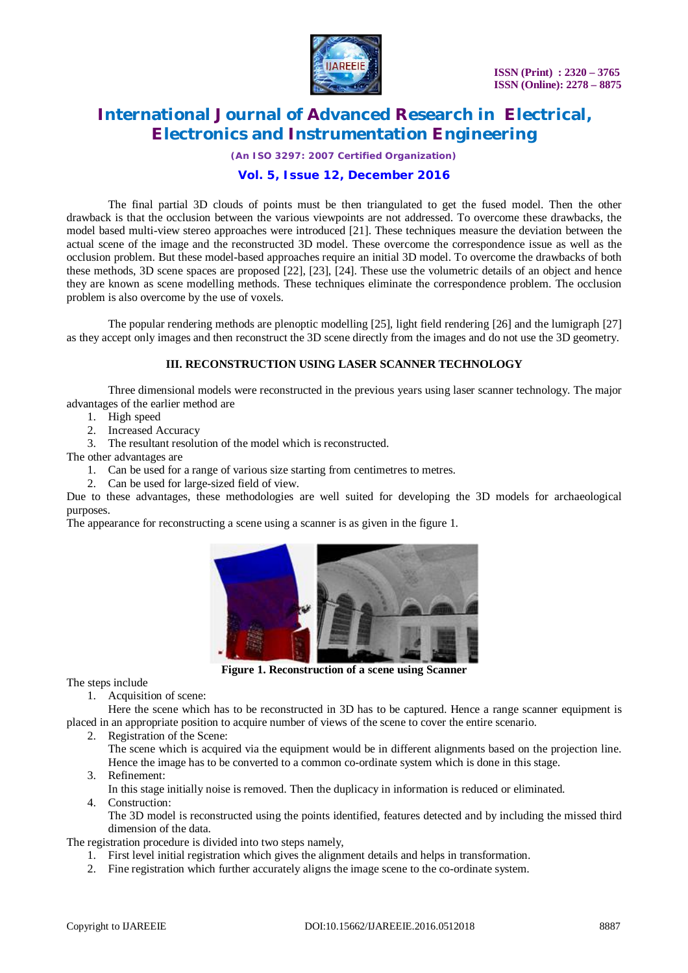

*(An ISO 3297: 2007 Certified Organization)*

# **Vol. 5, Issue 12, December 2016**

The final partial 3D clouds of points must be then triangulated to get the fused model. Then the other drawback is that the occlusion between the various viewpoints are not addressed. To overcome these drawbacks, the model based multi-view stereo approaches were introduced [21]. These techniques measure the deviation between the actual scene of the image and the reconstructed 3D model. These overcome the correspondence issue as well as the occlusion problem. But these model-based approaches require an initial 3D model. To overcome the drawbacks of both these methods, 3D scene spaces are proposed [22], [23], [24]. These use the volumetric details of an object and hence they are known as scene modelling methods. These techniques eliminate the correspondence problem. The occlusion problem is also overcome by the use of voxels.

The popular rendering methods are plenoptic modelling [25], light field rendering [26] and the lumigraph [27] as they accept only images and then reconstruct the 3D scene directly from the images and do not use the 3D geometry.

# **III. RECONSTRUCTION USING LASER SCANNER TECHNOLOGY**

Three dimensional models were reconstructed in the previous years using laser scanner technology. The major advantages of the earlier method are

- 1. High speed
- 2. Increased Accuracy
- 3. The resultant resolution of the model which is reconstructed.

The other advantages are

- 1. Can be used for a range of various size starting from centimetres to metres.
- 2. Can be used for large-sized field of view.

Due to these advantages, these methodologies are well suited for developing the 3D models for archaeological purposes.

The appearance for reconstructing a scene using a scanner is as given in the figure 1.



**Figure 1. Reconstruction of a scene using Scanner**

The steps include

1. Acquisition of scene:

Here the scene which has to be reconstructed in 3D has to be captured. Hence a range scanner equipment is placed in an appropriate position to acquire number of views of the scene to cover the entire scenario.

2. Registration of the Scene:

The scene which is acquired via the equipment would be in different alignments based on the projection line. Hence the image has to be converted to a common co-ordinate system which is done in this stage.

- 3. Refinement:
- In this stage initially noise is removed. Then the duplicacy in information is reduced or eliminated.
- 4. Construction:

The 3D model is reconstructed using the points identified, features detected and by including the missed third dimension of the data.

The registration procedure is divided into two steps namely,

- 1. First level initial registration which gives the alignment details and helps in transformation.
- 2. Fine registration which further accurately aligns the image scene to the co-ordinate system.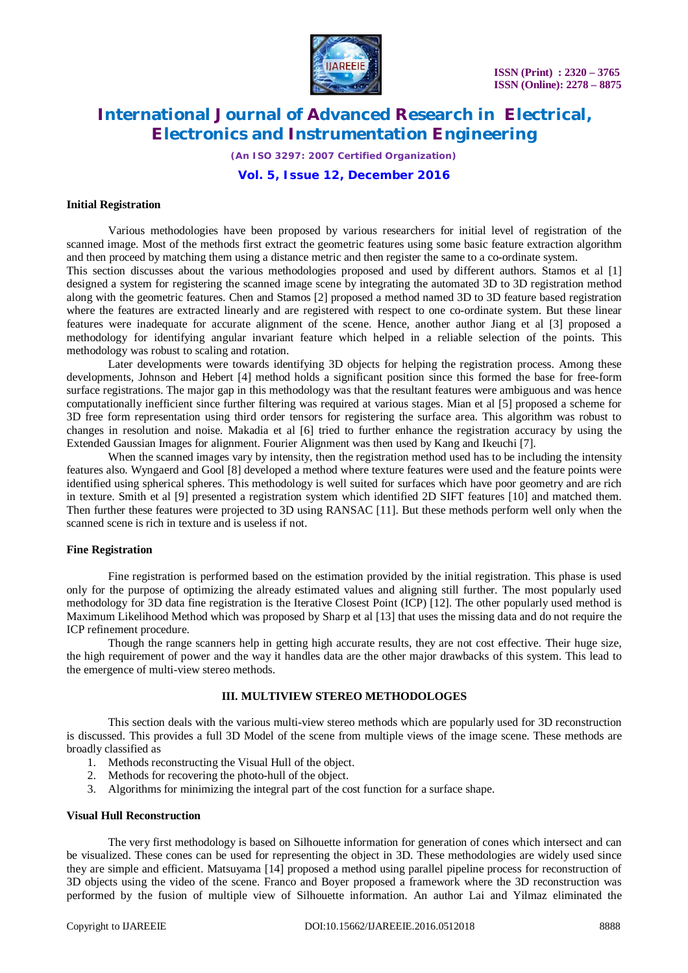

*(An ISO 3297: 2007 Certified Organization)*

# **Vol. 5, Issue 12, December 2016**

## **Initial Registration**

Various methodologies have been proposed by various researchers for initial level of registration of the scanned image. Most of the methods first extract the geometric features using some basic feature extraction algorithm and then proceed by matching them using a distance metric and then register the same to a co-ordinate system.

This section discusses about the various methodologies proposed and used by different authors. Stamos et al [1] designed a system for registering the scanned image scene by integrating the automated 3D to 3D registration method along with the geometric features. Chen and Stamos [2] proposed a method named 3D to 3D feature based registration where the features are extracted linearly and are registered with respect to one co-ordinate system. But these linear features were inadequate for accurate alignment of the scene. Hence, another author Jiang et al [3] proposed a methodology for identifying angular invariant feature which helped in a reliable selection of the points. This methodology was robust to scaling and rotation.

Later developments were towards identifying 3D objects for helping the registration process. Among these developments, Johnson and Hebert [4] method holds a significant position since this formed the base for free-form surface registrations. The major gap in this methodology was that the resultant features were ambiguous and was hence computationally inefficient since further filtering was required at various stages. Mian et al [5] proposed a scheme for 3D free form representation using third order tensors for registering the surface area. This algorithm was robust to changes in resolution and noise. Makadia et al [6] tried to further enhance the registration accuracy by using the Extended Gaussian Images for alignment. Fourier Alignment was then used by Kang and Ikeuchi [7].

When the scanned images vary by intensity, then the registration method used has to be including the intensity features also. Wyngaerd and Gool [8] developed a method where texture features were used and the feature points were identified using spherical spheres. This methodology is well suited for surfaces which have poor geometry and are rich in texture. Smith et al [9] presented a registration system which identified 2D SIFT features [10] and matched them. Then further these features were projected to 3D using RANSAC [11]. But these methods perform well only when the scanned scene is rich in texture and is useless if not.

# **Fine Registration**

Fine registration is performed based on the estimation provided by the initial registration. This phase is used only for the purpose of optimizing the already estimated values and aligning still further. The most popularly used methodology for 3D data fine registration is the Iterative Closest Point (ICP) [12]. The other popularly used method is Maximum Likelihood Method which was proposed by Sharp et al [13] that uses the missing data and do not require the ICP refinement procedure.

Though the range scanners help in getting high accurate results, they are not cost effective. Their huge size, the high requirement of power and the way it handles data are the other major drawbacks of this system. This lead to the emergence of multi-view stereo methods.

# **III. MULTIVIEW STEREO METHODOLOGES**

This section deals with the various multi-view stereo methods which are popularly used for 3D reconstruction is discussed. This provides a full 3D Model of the scene from multiple views of the image scene. These methods are broadly classified as

- 1. Methods reconstructing the Visual Hull of the object.
- 2. Methods for recovering the photo-hull of the object.
- 3. Algorithms for minimizing the integral part of the cost function for a surface shape.

#### **Visual Hull Reconstruction**

The very first methodology is based on Silhouette information for generation of cones which intersect and can be visualized. These cones can be used for representing the object in 3D. These methodologies are widely used since they are simple and efficient. Matsuyama [14] proposed a method using parallel pipeline process for reconstruction of 3D objects using the video of the scene. Franco and Boyer proposed a framework where the 3D reconstruction was performed by the fusion of multiple view of Silhouette information. An author Lai and Yilmaz eliminated the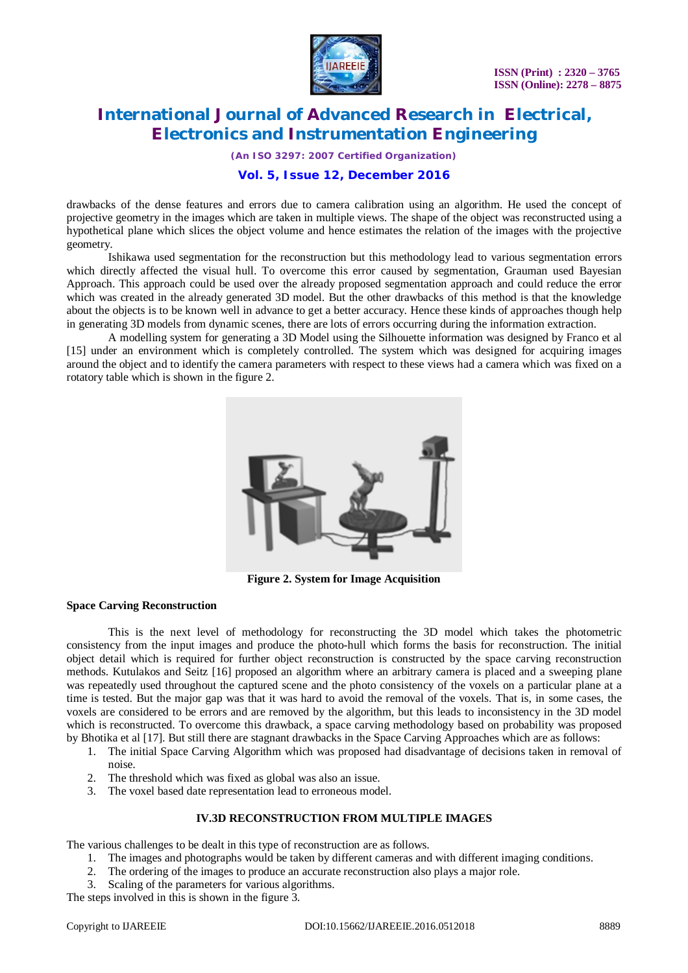

*(An ISO 3297: 2007 Certified Organization)*

# **Vol. 5, Issue 12, December 2016**

drawbacks of the dense features and errors due to camera calibration using an algorithm. He used the concept of projective geometry in the images which are taken in multiple views. The shape of the object was reconstructed using a hypothetical plane which slices the object volume and hence estimates the relation of the images with the projective geometry.

Ishikawa used segmentation for the reconstruction but this methodology lead to various segmentation errors which directly affected the visual hull. To overcome this error caused by segmentation, Grauman used Bayesian Approach. This approach could be used over the already proposed segmentation approach and could reduce the error which was created in the already generated 3D model. But the other drawbacks of this method is that the knowledge about the objects is to be known well in advance to get a better accuracy. Hence these kinds of approaches though help in generating 3D models from dynamic scenes, there are lots of errors occurring during the information extraction.

A modelling system for generating a 3D Model using the Silhouette information was designed by Franco et al [15] under an environment which is completely controlled. The system which was designed for acquiring images around the object and to identify the camera parameters with respect to these views had a camera which was fixed on a rotatory table which is shown in the figure 2.



**Figure 2. System for Image Acquisition**

# **Space Carving Reconstruction**

This is the next level of methodology for reconstructing the 3D model which takes the photometric consistency from the input images and produce the photo-hull which forms the basis for reconstruction. The initial object detail which is required for further object reconstruction is constructed by the space carving reconstruction methods. Kutulakos and Seitz [16] proposed an algorithm where an arbitrary camera is placed and a sweeping plane was repeatedly used throughout the captured scene and the photo consistency of the voxels on a particular plane at a time is tested. But the major gap was that it was hard to avoid the removal of the voxels. That is, in some cases, the voxels are considered to be errors and are removed by the algorithm, but this leads to inconsistency in the 3D model which is reconstructed. To overcome this drawback, a space carving methodology based on probability was proposed by Bhotika et al [17]. But still there are stagnant drawbacks in the Space Carving Approaches which are as follows:

- 1. The initial Space Carving Algorithm which was proposed had disadvantage of decisions taken in removal of noise.
- 2. The threshold which was fixed as global was also an issue.
- 3. The voxel based date representation lead to erroneous model.

# **IV.3D RECONSTRUCTION FROM MULTIPLE IMAGES**

The various challenges to be dealt in this type of reconstruction are as follows.

- 1. The images and photographs would be taken by different cameras and with different imaging conditions.
- 2. The ordering of the images to produce an accurate reconstruction also plays a major role.
- 3. Scaling of the parameters for various algorithms.

The steps involved in this is shown in the figure 3.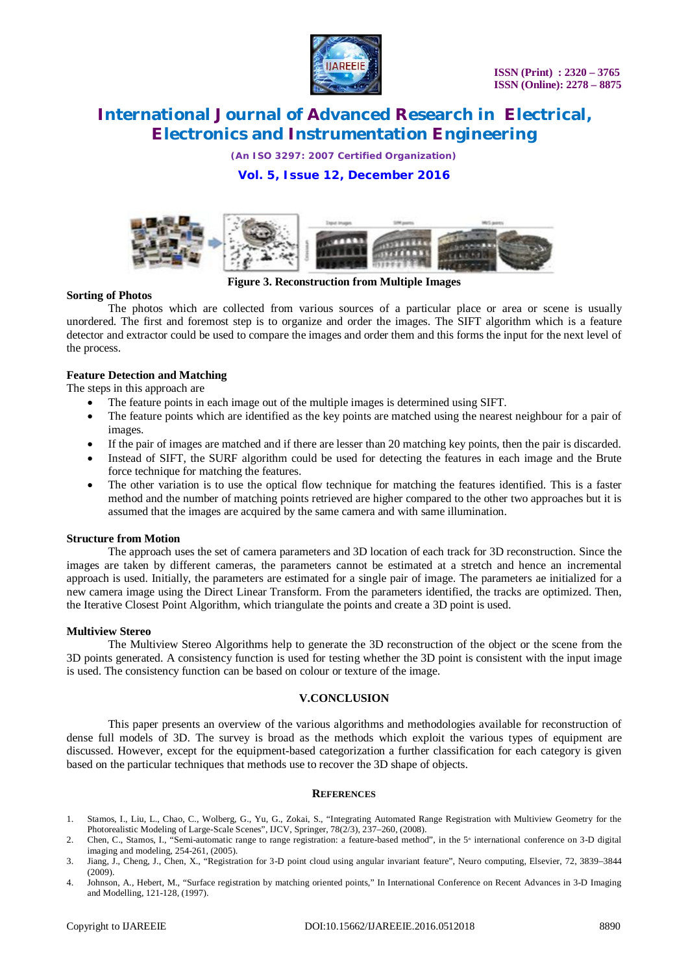

*(An ISO 3297: 2007 Certified Organization)*

# **Vol. 5, Issue 12, December 2016**



**Figure 3. Reconstruction from Multiple Images**

### **Sorting of Photos**

The photos which are collected from various sources of a particular place or area or scene is usually unordered. The first and foremost step is to organize and order the images. The SIFT algorithm which is a feature detector and extractor could be used to compare the images and order them and this forms the input for the next level of the process.

# **Feature Detection and Matching**

The steps in this approach are

- The feature points in each image out of the multiple images is determined using SIFT.
- The feature points which are identified as the key points are matched using the nearest neighbour for a pair of images.
- If the pair of images are matched and if there are lesser than 20 matching key points, then the pair is discarded.
- Instead of SIFT, the SURF algorithm could be used for detecting the features in each image and the Brute force technique for matching the features.
- The other variation is to use the optical flow technique for matching the features identified. This is a faster method and the number of matching points retrieved are higher compared to the other two approaches but it is assumed that the images are acquired by the same camera and with same illumination.

#### **Structure from Motion**

The approach uses the set of camera parameters and 3D location of each track for 3D reconstruction. Since the images are taken by different cameras, the parameters cannot be estimated at a stretch and hence an incremental approach is used. Initially, the parameters are estimated for a single pair of image. The parameters ae initialized for a new camera image using the Direct Linear Transform. From the parameters identified, the tracks are optimized. Then, the Iterative Closest Point Algorithm, which triangulate the points and create a 3D point is used.

#### **Multiview Stereo**

The Multiview Stereo Algorithms help to generate the 3D reconstruction of the object or the scene from the 3D points generated. A consistency function is used for testing whether the 3D point is consistent with the input image is used. The consistency function can be based on colour or texture of the image.

#### **V.CONCLUSION**

This paper presents an overview of the various algorithms and methodologies available for reconstruction of dense full models of 3D. The survey is broad as the methods which exploit the various types of equipment are discussed. However, except for the equipment-based categorization a further classification for each category is given based on the particular techniques that methods use to recover the 3D shape of objects.

#### **REFERENCES**

- 1. Stamos, I., Liu, L., Chao, C., Wolberg, G., Yu, G., Zokai, S., "Integrating Automated Range Registration with Multiview Geometry for the Photorealistic Modeling of Large-Scale Scenes", IJCV, Springer, 78(2/3), 237–260, (2008).
- 2. Chen, C., Stamos, I., "Semi-automatic range to range registration: a feature-based method", in the 5<sup>®</sup> international conference on 3-D digital imaging and modeling, 254-261, (2005).
- 3. Jiang, J., Cheng, J., Chen, X., "Registration for 3-D point cloud using angular invariant feature", Neuro computing, Elsevier, 72, 3839–3844 (2009).
- 4. Johnson, A., Hebert, M., "Surface registration by matching oriented points," In International Conference on Recent Advances in 3-D Imaging and Modelling, 121-128, (1997).